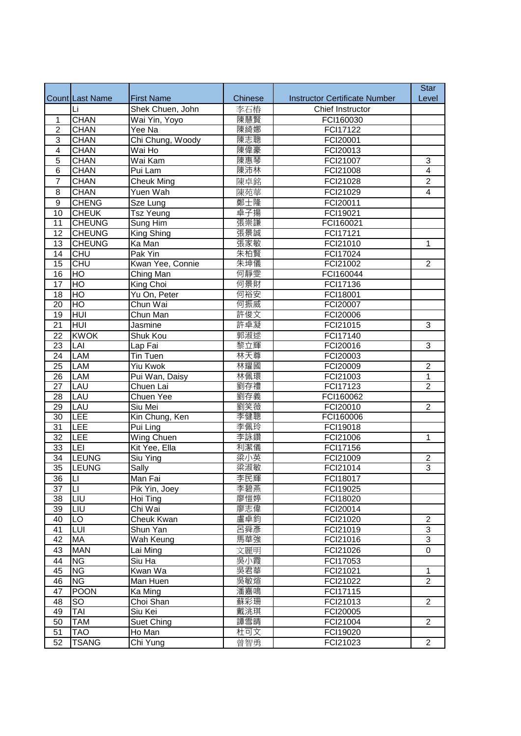|                                    |                        |                   |            |                                      | <b>Star</b>                      |
|------------------------------------|------------------------|-------------------|------------|--------------------------------------|----------------------------------|
|                                    | <b>Count Last Name</b> | <b>First Name</b> | Chinese    | <b>Instructor Certificate Number</b> | Level                            |
|                                    | Li                     | Shek Chuen, John  | 李石樁        | Chief Instructor                     |                                  |
| $\mathbf{1}$                       | <b>CHAN</b>            | Wai Yin, Yoyo     | 陳慧賢        | FCI160030                            |                                  |
| $\overline{2}$                     | <b>CHAN</b>            | Yee Na            | 陳綺娜        | FCI17122                             |                                  |
| $\overline{3}$                     | <b>CHAN</b>            | Chi Chung, Woody  | 陳志聰        | FCI20001                             |                                  |
| $\overline{4}$                     | <b>CHAN</b>            | Wai Ho            | 陳偉豪        | FCI20013                             |                                  |
| $\overline{5}$                     | <b>CHAN</b>            | Wai Kam           | 陳惠琴        | FCI21007                             | 3                                |
| $\overline{6}$                     | <b>CHAN</b>            | Pui Lam           | 陳沛林        | FCI21008                             | $\overline{4}$                   |
| $\overline{7}$                     | <b>CHAN</b>            | <b>Cheuk Ming</b> | 陳卓銘        | FCI21028                             | $\overline{2}$                   |
| 8                                  | <b>CHAN</b>            | Yuen Wah          | 陳苑華        | FCI21029                             | 4                                |
| $\overline{9}$                     | <b>CHENG</b>           | Sze Lung          | 鄭士隆        | FCI20011                             |                                  |
| $\overline{10}$                    | <b>CHEUK</b>           | <b>Tsz Yeung</b>  | 卓子揚        | FCI19021                             |                                  |
| 11                                 | <b>CHEUNG</b>          | Sung Him          | 張崇謙        | FCI160021                            |                                  |
| $\overline{12}$                    | <b>CHEUNG</b>          | King Shing        | 張景誠        | FCI17121                             |                                  |
| $\overline{13}$                    | <b>CHEUNG</b>          | Ka Man            | 張家敏        | FCI21010                             | $\mathbf{1}$                     |
| 14                                 | <b>CHU</b>             | Pak Yin           | 朱柏賢        | FCI17024                             |                                  |
| $\overline{15}$                    | CHU                    | Kwan Yee, Connie  | 朱坤儀        | FCI21002                             | $\overline{2}$                   |
| 16                                 | $\overline{HO}$        | Ching Man         | 何靜雯        | FCI160044                            |                                  |
| 17                                 | H <sub>O</sub>         | King Choi         | 何景財        | FCI17136                             |                                  |
| 18                                 | $\overline{HO}$        | Yu On, Peter      | 何裕安        | FCI18001                             |                                  |
| 20                                 | $\overline{HO}$        | Chun Wai          | 何振威        | FCI20007                             |                                  |
| $\overline{19}$                    | HUI                    | Chun Man          | 許俊文        | FCI20006                             |                                  |
| $\overline{21}$                    | <b>HUI</b>             | Jasmine           | 許卓凝        | FCI21015                             | $\overline{3}$                   |
| $\overline{22}$                    | <b>KWOK</b>            |                   | 郭淑逑        | FCI17140                             |                                  |
|                                    |                        | Shuk Kou          | 黎立輝        |                                      |                                  |
| 23                                 | LAI                    | Lap Fai           |            | FCI20016                             | $\overline{3}$                   |
| 24                                 | LAM                    | Tin Tuen          | 林天尊<br>林耀國 | FCI20003                             |                                  |
| 25                                 | LAM                    | Yiu Kwok          |            | FCI20009                             | $\mathbf 2$                      |
| $\overline{26}$                    | LAM                    | Pui Wan, Daisy    | 林佩環        | FCI21003                             | 1<br>$\overline{2}$              |
| $\overline{27}$                    | LAU                    | Chuen Lai         | 劉存禮        | FCI17123                             |                                  |
| 28                                 | LAU                    | Chuen Yee         | 劉存義        | FCI160062                            |                                  |
| 29                                 | LAU<br>LEE             | Siu Mei           | 劉笑薇        | FCI20010                             | $\overline{c}$                   |
| $\overline{30}$<br>$\overline{31}$ |                        | Kin Chung, Ken    | 李健聰        | FCI160006                            |                                  |
|                                    | LEE                    | Pui Ling          | 李佩玲        | FCI19018                             |                                  |
| 32                                 | LEE                    | Wing Chuen        | 李詠鑽<br>利潔儀 | FCI21006                             | 1                                |
| 33                                 | LEI                    | Kit Yee, Ella     |            | FCI17156                             |                                  |
| $\overline{34}$                    | <b>LEUNG</b>           | Siu Ying          | 梁小英        | FCI21009                             | $\overline{2}$<br>$\overline{3}$ |
| 35                                 | <b>LEUNG</b>           | <b>Sally</b>      | 梁淑敏        | FCI21014                             |                                  |
| 36                                 | LI                     | Man Fai           | 李民輝        | FCI18017                             |                                  |
| $\overline{37}$                    | $\overline{L}$         | Pik Yin, Joey     | 李碧燕        | FCI19025                             |                                  |
| 38                                 | LIU                    | Hoi Ting          | 廖愷婷        | FCI18020                             |                                  |
| 39                                 | LIU                    | Chi Wai           | 廖志偉        | FCI20014                             |                                  |
| 40                                 | LO                     | Cheuk Kwan        | 盧卓鈞        | FCI21020                             | $\overline{c}$                   |
| 41                                 | LUI                    | Shun Yan          | 呂舜彥        | FCI21019                             | 3                                |
| 42                                 | MA                     | Wah Keung         | 馬華強        | FCI21016                             | 3                                |
| 43                                 | <b>MAN</b>             | Lai Ming          | 文麗明        | FCI21026                             | 0                                |
| 44                                 | <b>NG</b>              | Siu Ha            | 吳小霞        | FCI17053                             |                                  |
| 45                                 | <b>NG</b>              | Kwan Wa           | 吳君華        | FCI21021                             | 1                                |
| 46                                 | <b>NG</b>              | Man Huen          | 吳敏煊        | FCI21022                             | $\overline{2}$                   |
| 47                                 | <b>POON</b>            | Ka Ming           | 潘嘉鳴        | FCI17115                             |                                  |
| 48                                 | SO                     | Choi Shan         | 蘇彩珊        | FCI21013                             | $\overline{c}$                   |
| 49                                 | TAI                    | Siu Kei           | 戴洮琪        | FCI20005                             |                                  |
| 50                                 | TAM                    | Suet Ching        | 譚雪晴        | FCI21004                             | $\overline{2}$                   |
| 51                                 | TAO                    | Ho Man            | 杜可文        | FCI19020                             |                                  |
| 52                                 | <b>TSANG</b>           | Chi Yung          | 曾智勇        | FCI21023                             | $\overline{2}$                   |